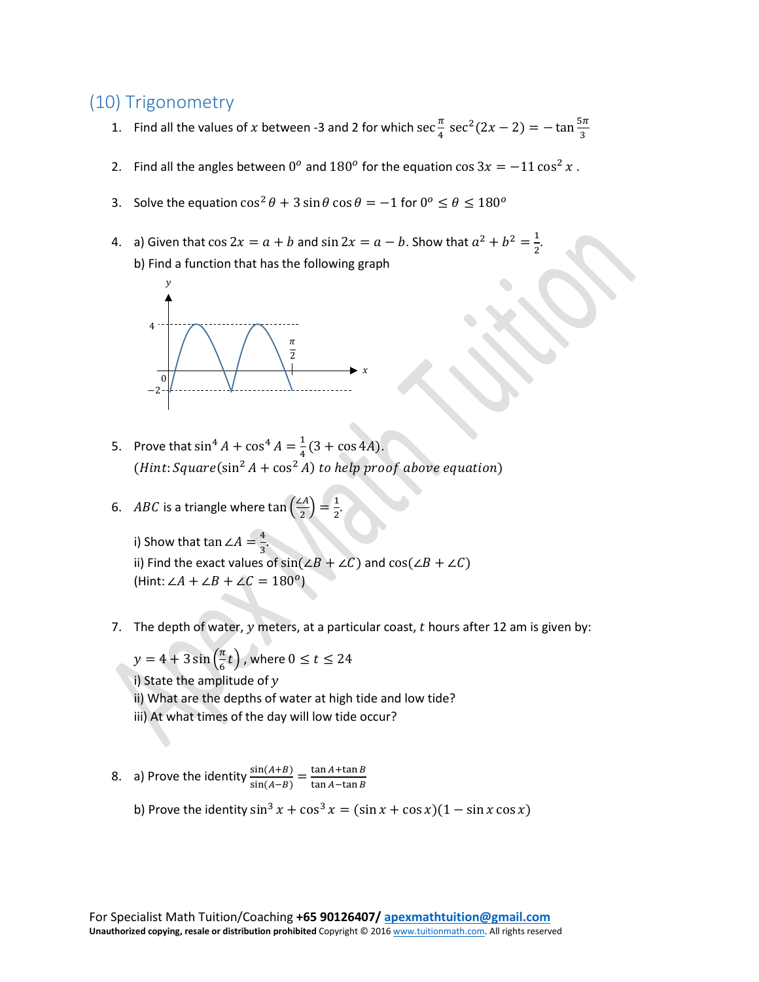## (10) Trigonometry

- 1. Find all the values of x between -3 and 2 for which  $\sec \frac{\pi}{4} \sec^2(2x 2) = -\tan \frac{5\pi}{3}$
- 2. Find all the angles between 0<sup>o</sup> and 180<sup>o</sup> for the equation cos  $3x = -11 \cos^2 x$ .
- 3. Solve the equation  $\cos^2 \theta + 3 \sin \theta \cos \theta = -1$  for  $0^{\circ} \le \theta \le 180^{\circ}$
- 4. a) Given that  $\cos 2x = a + b$  and  $\sin 2x = a b$ . Show that  $a^2 + b^2 = \frac{1}{2}$ . b) Find a function that has the following graph



- 5. Prove that  $\sin^4 A + \cos^4 A = \frac{1}{4}(3 + \cos 4A)$ . (*Hint*:  $Square(\sin^2 A + \cos^2 A)$  to help proof above equation)
- 6. *ABC* is a triangle where  $\tan\left(\frac{2A}{2}\right) = \frac{1}{2}$ .

i) Show that tan ∠ $A=\frac{4}{3}$ .  $\frac{3}{10}$  Find the exact values of sin(∠ $B + \angle C$ ) and cos(∠ $B + \angle C$ ) (Hint:  $\angle A + \angle B + \angle C = 180^o$ )

7. The depth of water,  $y$  meters, at a particular coast,  $t$  hours after 12 am is given by:

 $y = 4 + 3 \sin\left(\frac{\pi}{6}t\right)$  , where  $0 \le t \le 24$ i) State the amplitude of  $y$ ii) What are the depths of water at high tide and low tide? iii) At what times of the day will low tide occur?

- 8. a) Prove the identity  $\frac{\sin(A+B)}{\sin(A-B)} = \frac{\tan A + \tan B}{\tan A \tan B}$ 
	- b) Prove the identity  $\sin^3 x + \cos^3 x = (\sin x + \cos x)(1 \sin x \cos x)$